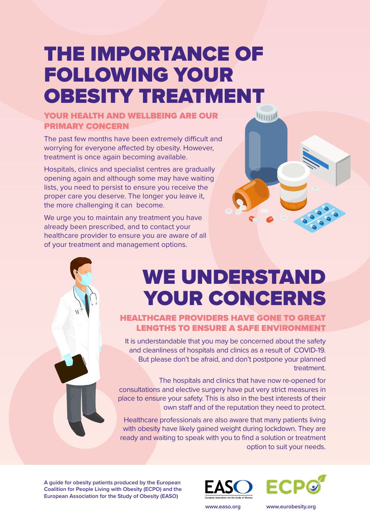# THE IMPORTANCE OF FOLLOWING YOUR OBESITY TREATMENT

#### YOUR HEALTH AND WELLBEING ARE OUR PRIMARY CONCERN

The past few months have been extremely difficult and worrying for everyone affected by obesity. However, treatment is once again becoming available.

Hospitals, clinics and specialist centres are gradually opening again and although some may have waiting lists, you need to persist to ensure you receive the proper care you deserve. The longer you leave it, the more challenging it can become.

We urge you to maintain any treatment you have already been prescribed, and to contact your healthcare provider to ensure you are aware of all of your treatment and management options.

## WE UNDERSTAND YOUR CONCERNS

**THILLE** 

#### HEALTHCARE PROVIDERS HAVE GONE TO GREAT LENGTHS TO ENSURE A SAFE ENVIRONMENT

It is understandable that you may be concerned about the safety and cleanliness of hospitals and clinics as a result of COVID-19. But please don't be afraid, and don't postpone your planned treatment.

The hospitals and clinics that have now re-opened for consultations and elective surgery have put very strict measures in place to ensure your safety. This is also in the best interests of their own staff and of the reputation they need to protect.

Healthcare professionals are also aware that many patients living with obesity have likely gained weight during lockdown. They are ready and waiting to speak with you to find a solution or treatment option to suit your needs.

**A guide for obesity patients produced by the European Coalition for People Living with Obesity (ECPO) and the European Association for the Study of Obesity (EASO)** 





**www.easo.org www.eurobesity.org**